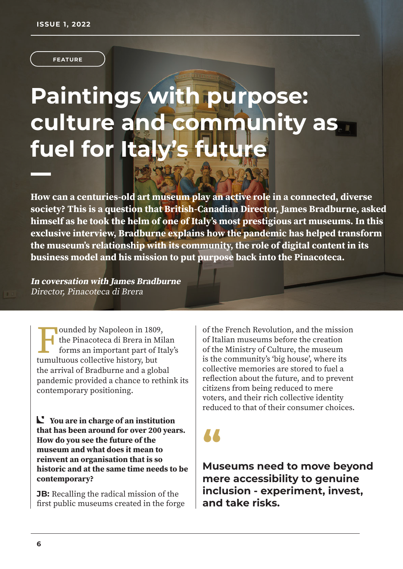**FEATURE**

# **Paintings with purpose: culture and community as fuel for Italy'**

**How can a centuries-old art museum play an active role in a connected, diverse society? This is a question that British-Canadian Director, James Bradburne, asked himself as he took the helm of one of Italy's most prestigious art museums. In this exclusive interview, Bradburne explains how the pandemic has helped transform the museum's relationship with its community, the role of digital content in its business model and his mission to put purpose back into the Pinacoteca.**

**In coversation with James Bradburne**  Director, Pinacoteca di Brera

I ounded by Napoleon in 1809<br>the Pinacoteca di Brera in M<br>forms an important part of l<br>tumultuous collective history, but ounded by Napoleon in 1809, the Pinacoteca di Brera in Milan forms an important part of Italy's the arrival of Bradburne and a global pandemic provided a chance to rethink its contemporary positioning.

**You are in charge of an institution that has been around for over 200 years. How do you see the future of the museum and what does it mean to reinvent an organisation that is so historic and at the same time needs to be contemporary?**

**JB:** Recalling the radical mission of the first public museums created in the forge of the French Revolution, and the mission of Italian museums before the creation of the Ministry of Culture, the museum is the community's 'big house', where its collective memories are stored to fuel a reflection about the future, and to prevent citizens from being reduced to mere voters, and their rich collective identity reduced to that of their consumer choices.

**"**

**Museums need to move beyond mere accessibility to genuine inclusion - experiment, invest, and take risks.**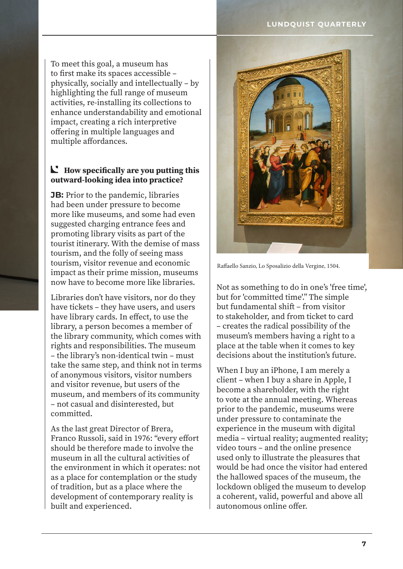### **LUNDQUIST QUARTERLY**

To meet this goal, a museum has to first make its spaces accessible – physically, socially and intellectually – by highlighting the full range of museum activities, re-installing its collections to enhance understandability and emotional impact, creating a rich interpretive offering in multiple languages and multiple affordances.

### **How specifically are you putting this outward-looking idea into practice?**

**JB:** Prior to the pandemic, libraries had been under pressure to become more like museums, and some had even suggested charging entrance fees and promoting library visits as part of the tourist itinerary. With the demise of mass tourism, and the folly of seeing mass tourism, visitor revenue and economic impact as their prime mission, museums now have to become more like libraries.

Libraries don't have visitors, nor do they have tickets – they have users, and users have library cards. In effect, to use the library, a person becomes a member of the library community, which comes with rights and responsibilities. The museum – the library's non-identical twin – must take the same step, and think not in terms of anonymous visitors, visitor numbers and visitor revenue, but users of the museum, and members of its community – not casual and disinterested, but committed.

As the last great Director of Brera, Franco Russoli, said in 1976: "every effort should be therefore made to involve the museum in all the cultural activities of the environment in which it operates: not as a place for contemplation or the study of tradition, but as a place where the development of contemporary reality is built and experienced.



Raffaello Sanzio, Lo Sposalizio della Vergine, 1504.

Not as something to do in one's 'free time', but for 'committed time'." The simple but fundamental shift – from visitor to stakeholder, and from ticket to card – creates the radical possibility of the museum's members having a right to a place at the table when it comes to key decisions about the institution's future.

When I buy an iPhone, I am merely a client – when I buy a share in Apple, I become a shareholder, with the right to vote at the annual meeting. Whereas prior to the pandemic, museums were under pressure to contaminate the experience in the museum with digital media – virtual reality; augmented reality; video tours – and the online presence used only to illustrate the pleasures that would be had once the visitor had entered the hallowed spaces of the museum, the lockdown obliged the museum to develop a coherent, valid, powerful and above all autonomous online offer.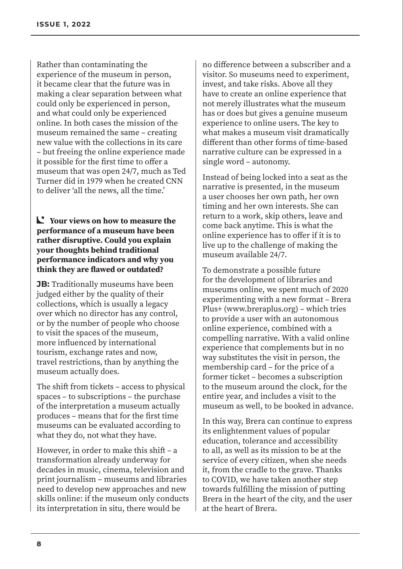Rather than contaminating the experience of the museum in person, it became clear that the future was in making a clear separation between what could only be experienced in person, and what could only be experienced online. In both cases the mission of the museum remained the same – creating new value with the collections in its care – but freeing the online experience made it possible for the first time to offer a museum that was open 24/7, much as Ted Turner did in 1979 when he created CNN to deliver 'all the news, all the time.'

**Your views on how to measure the performance of a museum have been rather disruptive. Could you explain your thoughts behind traditional performance indicators and why you think they are flawed or outdated?**

**JB:** Traditionally museums have been judged either by the quality of their collections, which is usually a legacy over which no director has any control, or by the number of people who choose to visit the spaces of the museum, more influenced by international tourism, exchange rates and now, travel restrictions, than by anything the museum actually does.

The shift from tickets – access to physical spaces – to subscriptions – the purchase of the interpretation a museum actually produces – means that for the first time museums can be evaluated according to what they do, not what they have.

However, in order to make this shift – a transformation already underway for decades in music, cinema, television and print journalism – museums and libraries need to develop new approaches and new skills online: if the museum only conducts its interpretation in situ, there would be

no difference between a subscriber and a visitor. So museums need to experiment, invest, and take risks. Above all they have to create an online experience that not merely illustrates what the museum has or does but gives a genuine museum experience to online users. The key to what makes a museum visit dramatically different than other forms of time-based narrative culture can be expressed in a single word – autonomy.

Instead of being locked into a seat as the narrative is presented, in the museum a user chooses her own path, her own timing and her own interests. She can return to a work, skip others, leave and come back anytime. This is what the online experience has to offer if it is to live up to the challenge of making the museum available 24/7.

To demonstrate a possible future for the development of libraries and museums online, we spent much of 2020 experimenting with a new format – Brera Plus+ (www.breraplus.org) – which tries to provide a user with an autonomous online experience, combined with a compelling narrative. With a valid online experience that complements but in no way substitutes the visit in person, the membership card – for the price of a former ticket – becomes a subscription to the museum around the clock, for the entire year, and includes a visit to the museum as well, to be booked in advance.

In this way, Brera can continue to express its enlightenment values of popular education, tolerance and accessibility to all, as well as its mission to be at the service of every citizen, when she needs it, from the cradle to the grave. Thanks to COVID, we have taken another step towards fulfilling the mission of putting Brera in the heart of the city, and the user at the heart of Brera.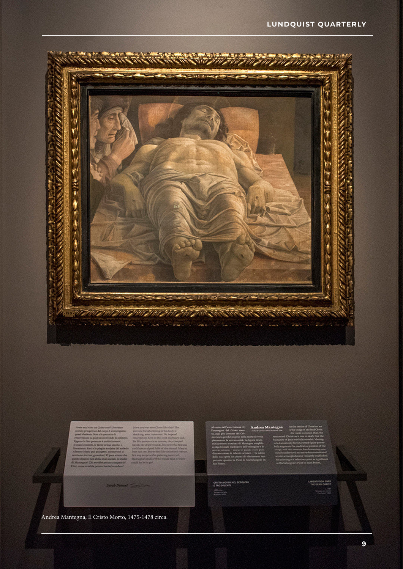

**A Donald** 

#### Andrea Mantegna, Il Cristo Morto, 1475-1478 circa.

## Andrea Mantegni

CHISTO MORTO NEL SEPOLCHE<br>E THE DOLENTI

Lidd cone

AMENTATION OVER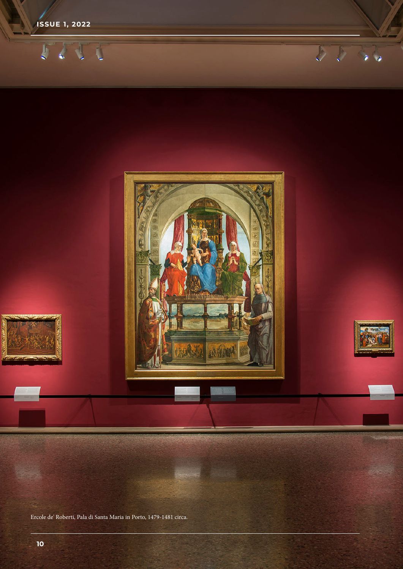

Ercole de' Roberti, Pala di Santa Maria in Porto, 1479-1481 circa.